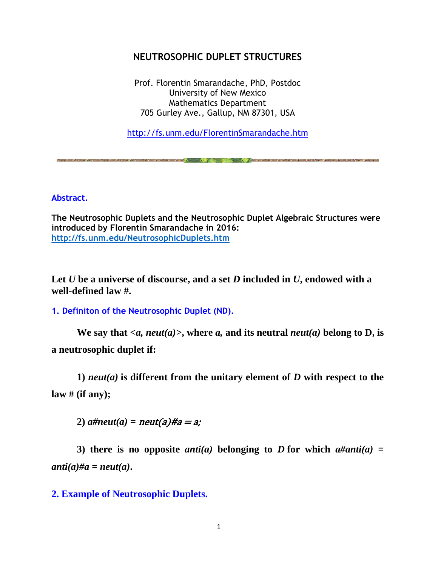# **NEUTROSOPHIC DUPLET STRUCTURES**

Prof. Florentin Smarandache, PhD, Postdoc University of New Mexico Mathematics Department 705 Gurley Ave., Gallup, NM 87301, USA

<http://fs.unm.edu/FlorentinSmarandache.htm>

THE REAL PROPERTY OF A REAL PROPERTY OF A REAL PROPERTY AND THE REAL PROPERTY AND CONTROL PROPERTY AND MANUFACTUAL PROPERTY AND ARRESTS

**Abstract.**

**The Neutrosophic Duplets and the Neutrosophic Duplet Algebraic Structures were introduced by Florentin Smarandache in 2016: <http://fs.unm.edu/NeutrosophicDuplets.htm>**

**Let** *U* **be a universe of discourse, and a set** *D* **included in** *U***, endowed with a well-defined law #.**

**1. Definiton of the Neutrosophic Duplet (ND).**

We say that  $\langle a, \text{neut}(a) \rangle$ , where a, and its neutral *neut(a)* belong to D, is **a neutrosophic duplet if:**

**1)** *neut(a)* **is different from the unitary element of** *D* **with respect to the law # (if any);**

2)  $a\#neut(a) = neut(a)\#a = a;$ 

3) there is no opposite *anti(a)* belonging to *D* for which  $a\#anti(a) =$  $anti(a)$ *#a = neut(a)*.

**2. Example of Neutrosophic Duplets.**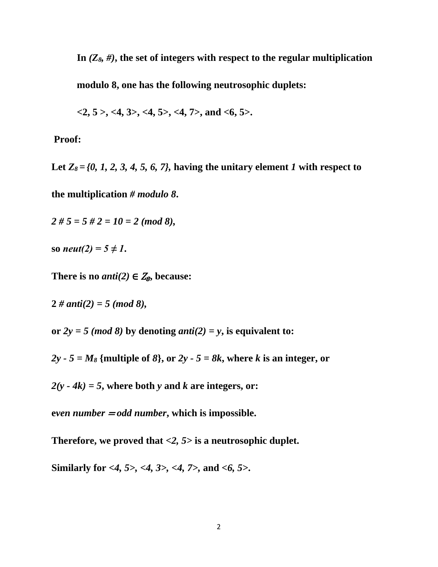**In** *(Z8, #)***, the set of integers with respect to the regular multiplication**

**modulo 8, one has the following neutrosophic duplets:**

 $\langle 2, 5 \rangle$ ,  $\langle 4, 3 \rangle$ ,  $\langle 4, 5 \rangle$ ,  $\langle 4, 7 \rangle$ , and  $\langle 6, 5 \rangle$ .

## **Proof:**

Let  $Z_8 = \{0, 1, 2, 3, 4, 5, 6, 7\}$ , having the unitary element *1* with respect to

**the multiplication** *# modulo 8***.**

*2 # 5 = 5 # 2 = 10 = 2 (mod 8),*

**so** *neut*(2) =  $5 \neq 1$ **.** 

There is no *anti*(2)  $\in Z_8$ , because:

 $2 \# anti(2) = 5 \ (mod \ 8),$ 

or  $2y = 5 \pmod{8}$  by denoting *anti*(2) = y, is equivalent to:

 $2y - 5 = M_8$  {multiple of  $8$ }, or  $2y - 5 = 8k$ , where k is an integer, or

 $2(y - 4k) = 5$ , where both *y* and *k* are integers, or:

**e***ven number* <sup>=</sup> *odd number***, which is impossible.**

**Therefore, we proved that** *<2, 5>* **is a neutrosophic duplet.**

**Similarly for** *<4, 5>, <4, 3>, <4, 7>,* **and** *<6, 5>***.**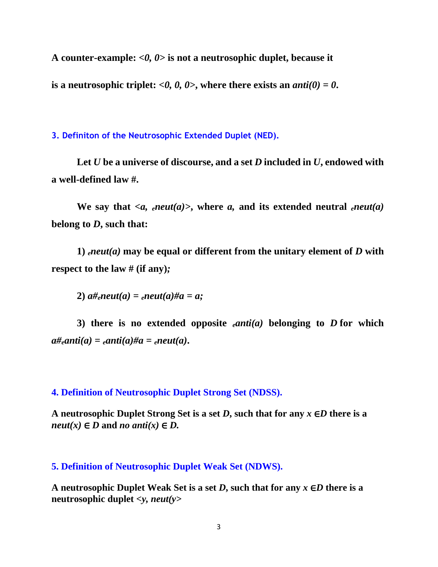**A counter-example:** *<0, 0>* **is not a neutrosophic duplet, because it**  is a neutrosophic triplet:  $\langle 0, 0, 0 \rangle$ , where there exists an *anti*(0) = 0.

**3. Definiton of the Neutrosophic Extended Duplet (NED).**

Let *U* be a universe of discourse, and a set *D* included in *U*, endowed with **a well-defined law #.**

We say that  $\langle a, e^{i\theta} \rangle$  *eneut(a)*, where *a*, and its extended neutral *eneut(a)* **belong to** *D***, such that:**

**1)** *eneut(a)* **may be equal or different from the unitary element of** *D* **with respect to the law # (if any)***;*

**2)**  $a\#_{e}$ *neut*(*a*) =  $_{e}$ *neut*(*a*) $\#$ *a* = *a*;

**3) there is no extended opposite** *eanti(a)* **belonging to** *D* **for which**   $a\#_{e}$ *anti* $(a) = e$ *anti* $(a)\#a = e$ *neut* $(a)$ .

**4. Definition of Neutrosophic Duplet Strong Set (NDSS).**

**A neutrosophic Duplet Strong Set is a set** *D***, such that for any** *x* ∈*D* **there is a**  $neut(x) \in D$  and *no anti*(*x*)  $\in D$ .

**5. Definition of Neutrosophic Duplet Weak Set (NDWS).**

**A neutrosophic Duplet Weak Set is a set** *D***, such that for any** *x* ∈*D* **there is a neutrosophic duplet** *<y, neut(y>*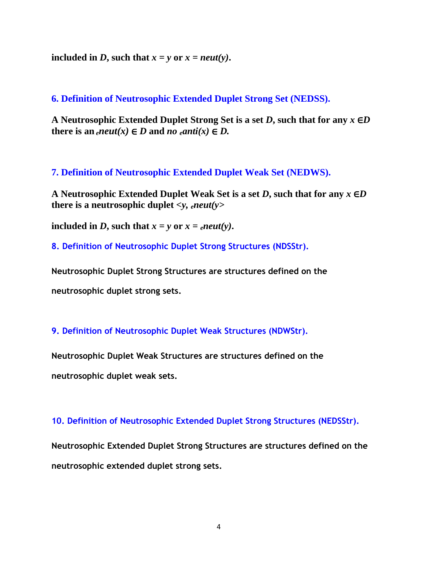**included in** *D***, such that**  $x = y$  **or**  $x = neutr(y)$ **.** 

**6. Definition of Neutrosophic Extended Duplet Strong Set (NEDSS).**

**A Neutrosophic Extended Duplet Strong Set is a set** *D***, such that for any** *x* ∈*D* **there is an** *eneut*(*x*) ∈ *D* and *no eanti*(*x*) ∈ *D*.

**7. Definition of Neutrosophic Extended Duplet Weak Set (NEDWS).**

**A Neutrosophic Extended Duplet Weak Set is a set** *D***, such that for any** *x* ∈*D* **there is a neutrosophic duplet**  $\langle v, e^{i\theta} \rangle$ 

**included in D, such that**  $x = y$  **or**  $x = e^{neut}(y)$ **.** 

**8. Definition of Neutrosophic Duplet Strong Structures (NDSStr).**

**Neutrosophic Duplet Strong Structures are structures defined on the neutrosophic duplet strong sets.**

### **9. Definition of Neutrosophic Duplet Weak Structures (NDWStr).**

**Neutrosophic Duplet Weak Structures are structures defined on the neutrosophic duplet weak sets.**

**10. Definition of Neutrosophic Extended Duplet Strong Structures (NEDSStr).**

**Neutrosophic Extended Duplet Strong Structures are structures defined on the neutrosophic extended duplet strong sets.**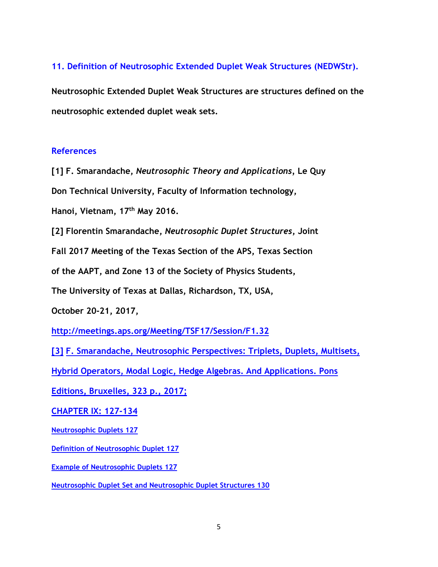### **11. Definition of Neutrosophic Extended Duplet Weak Structures (NEDWStr).**

**Neutrosophic Extended Duplet Weak Structures are structures defined on the neutrosophic extended duplet weak sets.**

#### **References**

**[1] F. Smarandache,** *Neutrosophic Theory and Applications,* **Le Quy** 

**Don Technical University, Faculty of Information technology,** 

**Hanoi, Vietnam, 17th May 2016.**

**[2] Florentin Smarandache,** *Neutrosophic Duplet Structures***, Joint** 

**Fall 2017 Meeting of the Texas Section of the APS, Texas Section** 

**of the AAPT, and Zone 13 of the Society of Physics Students,**

**The University of Texas at Dallas, Richardson, TX, USA,**

**October 20-21, 2017,**

**<http://meetings.aps.org/Meeting/TSF17/Session/F1.32>**

**[\[3\]](http://fs.unm.edu/NeutrosophicPerspectives-ed2.pdf) [F. Smarandache, Neutrosophic Perspectives: Triplets, Duplets, Multisets,](http://fs.unm.edu/NeutrosophicPerspectives-ed2.pdf)** 

**[Hybrid Operators, Modal Logic, Hedge Algebras. And Applications. Pons](http://fs.unm.edu/NeutrosophicPerspectives-ed2.pdf)** 

**[Editions, Bruxelles, 323 p., 2017;](http://fs.unm.edu/NeutrosophicPerspectives-ed2.pdf)**

**[CHAPTER IX: 127-134](http://fs.unm.edu/NeutrosophicPerspectives-ed2.pdf)** 

**[Neutrosophic Duplets 127](http://fs.unm.edu/NeutrosophicPerspectives-ed2.pdf)** 

**[Definition of Neutrosophic Duplet](http://fs.unm.edu/NeutrosophicPerspectives-ed2.pdf) 127** 

**[Example of Neutrosophic Duplets](http://fs.unm.edu/NeutrosophicPerspectives-ed2.pdf) 127** 

**[Neutrosophic Duplet Set and Neutrosophic Duplet Structures 130](http://fs.unm.edu/NeutrosophicPerspectives-ed2.pdf)**